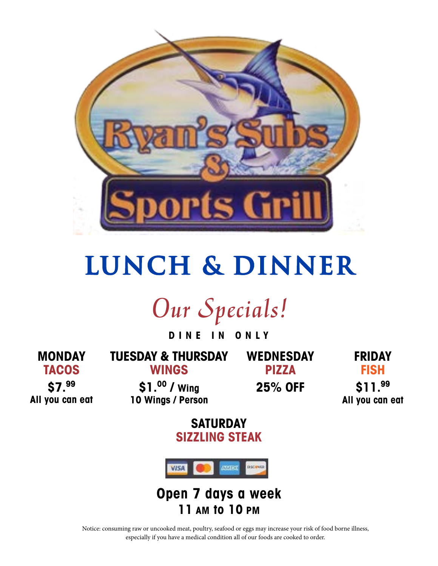

# **Lunch & Dinner**

*Our Specials!*

**D I N E I N O N L Y** 

**MONDAY TACOS \$7.99**

**All you can eat**

**TUESDAY & THURSDAY WINGS**

**WEDNESDAY PIZZA**

**FRIDAY FISH \$11.99**

**\$1.00 / Wing 10 Wings / Person** **25% OFF**

**All you can eat** 

**SATURDAY SIZZLING STEAK**



**Open 7 days a week 11 AM to 10 PM**

Notice: consuming raw or uncooked meat, poultry, seafood or eggs may increase your risk of food borne illness, especially if you have a medical condition all of our foods are cooked to order.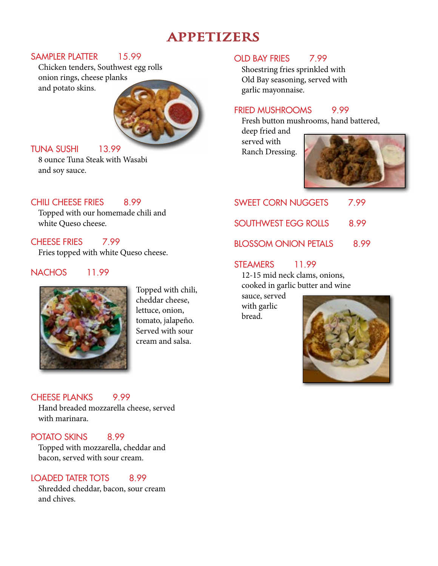## **APPETIZERS**

#### SAMPLER PLATTER 15.99

Chicken tenders, Southwest egg rolls onion rings, cheese planks and potato skins.



#### TUNA SUSHI 13.99

8 ounce Tuna Steak with Wasabi and soy sauce.

#### CHILL CHEESE FRIES 8.99

Topped with our homemade chili and white Queso cheese.

#### CHEESE FRIES 7.99

Fries topped with white Queso cheese.

#### NACHOS 11.99



Topped with chili, cheddar cheese, lettuce, onion, tomato, jalapeño. Served with sour cream and salsa.

#### CHEESE PLANKS 9.99

Hand breaded mozzarella cheese, served with marinara.

#### POTATO SKINS 8.99

Topped with mozzarella, cheddar and bacon, served with sour cream.

#### LOADED TATER TOTS 8.99

Shredded cheddar, bacon, sour cream and chives.

#### OLD BAY FRIES 7.99

Shoestring fries sprinkled with Old Bay seasoning, served with garlic mayonnaise.

#### FRIED MUSHROOMS 9.99

Fresh button mushrooms, hand battered,

deep fried and served with Ranch Dressing.



| 7.99 |
|------|
| 8.99 |
| 8.99 |
|      |

#### STEAMERS 11.99

12-15 mid neck clams, onions, cooked in garlic butter and wine

sauce, served with garlic bread.

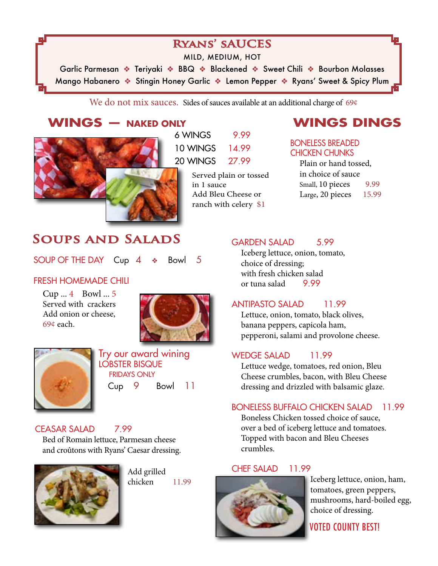## **Ryans' sAUCES**

MILD, MEDIUM, HOT

Garlic Parmesan \* Teriyaki \* BBQ \* Blackened \* Sweet Chili \* Bourbon Molasses Mango Habanero  $\clubsuit$  Stingin Honey Garlic  $\clubsuit$  Lemon Pepper  $\clubsuit$  Ryans' Sweet & Spicy Plum

We do not mix sauces. Sides of sauces available at an additional charge of 69¢

Served plain or tossed

Add Bleu Cheese or ranch with celery \$1

in 1 sauce

## **WINGS — NAKED ONLY**



## **SOUPS AND SALADS**

SOUP OF THE DAY Cup  $4 \cdot \cdot$  Bowl 5

#### FRESH HOMEMADE CHILI

Cup ... 4 Bowl ... 5 Served with crackers Add onion or cheese, 69¢ each.





Try our award wining LOBSTER BISQUE FRIDAYS ONLY Cup 9 Bowl 11

#### CEASAR SALAD 7.99

Bed of Romain lettuce, Parmesan cheese and croûtons with Ryans' Caesar dressing.



Add grilled chicken 11.99

## **WINGS DINGS**

#### BONELESS BREADED CHICKEN CHUNKS

Plain or hand tossed, in choice of sauce Small, 10 pieces 9.99 Large, 20 pieces 15.99

#### GARDEN SALAD 5.99

Iceberg lettuce, onion, tomato, choice of dressing; with fresh chicken salad or tuna salad 9.99

#### ANTIPASTO SALAD 11.99

Lettuce, onion, tomato, black olives, banana peppers, capicola ham, pepperoni, salami and provolone cheese.

#### WEDGE SALAD 11.99

Lettuce wedge, tomatoes, red onion, Bleu Cheese crumbles, bacon, with Bleu Cheese dressing and drizzled with balsamic glaze.

#### BONELESS BUFFALO CHICKEN SALAD 11.99

Boneless Chicken tossed choice of sauce, over a bed of iceberg lettuce and tomatoes. Topped with bacon and Bleu Cheeses crumbles.

#### CHEF SALAD 11.99



Iceberg lettuce, onion, ham, tomatoes, green peppers, mushrooms, hard-boiled egg, choice of dressing.

VOTED COUNTY BEST!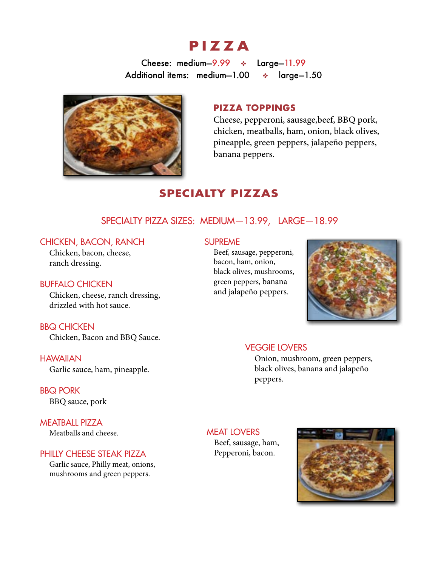## **PIZZA**

Cheese: medium-9.99 \* Large-11.99 Additional items: medium-1.00  $\bullet$  large-1.50



#### **PIZZA TOPPINGS**

Cheese, pepperoni, sausage,beef, BBQ pork, chicken, meatballs, ham, onion, black olives, pineapple, green peppers, jalapeño peppers, banana peppers.

### **SPECIALTY PIZZAS**

#### SPECIALTY PIZZA SIZES: MEDIUM—13.99, LARGE—18.99

#### CHICKEN, BACON, RANCH

Chicken, bacon, cheese, ranch dressing.

#### BUFFALO CHICKEN

Chicken, cheese, ranch dressing, drizzled with hot sauce.

BBQ CHICKEN Chicken, Bacon and BBQ Sauce.

**HAWAIIAN** Garlic sauce, ham, pineapple.

BBQ PORK BBQ sauce, pork

MEATBALL PIZZA Meatballs and cheese.

#### PHILLY CHEESE STEAK PIZZA

Garlic sauce, Philly meat, onions, mushrooms and green peppers.

#### SUPREME

Beef, sausage, pepperoni, bacon, ham, onion, black olives, mushrooms, green peppers, banana and jalapeño peppers.



#### VEGGIE LOVERS

Onion, mushroom, green peppers, black olives, banana and jalapeño peppers.

MEAT LOVERS Beef, sausage, ham, Pepperoni, bacon.

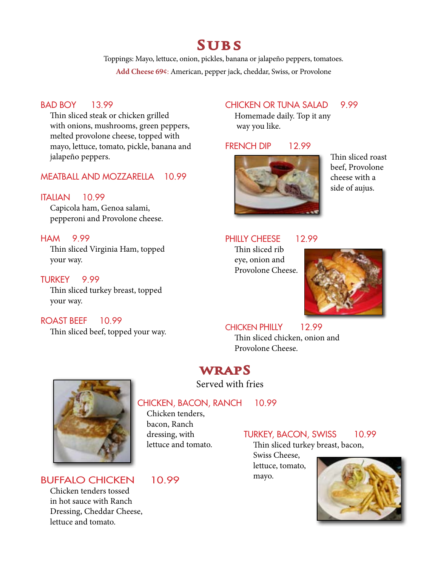## **Subs**

Toppings: Mayo, lettuce, onion, pickles, banana or jalapeño peppers, tomatoes. **Add Cheese 69¢**: American, pepper jack, cheddar, Swiss, or Provolone

#### BAD BOY 13.99

Thin sliced steak or chicken grilled with onions, mushrooms, green peppers, melted provolone cheese, topped with mayo, lettuce, tomato, pickle, banana and jalapeño peppers.

#### MEATBALL AND MOZZARELLA 10.99

#### ITALIAN 10.99

Capicola ham, Genoa salami, pepperoni and Provolone cheese.

#### HAM 9.99

Thin sliced Virginia Ham, topped your way.

#### TURKEY 9.99

Thin sliced turkey breast, topped your way.

#### ROAST BEEF 10.99

Thin sliced beef, topped your way.

#### CHICKEN OR TUNA SALAD 9.99

Homemade daily. Top it any way you like.

#### FRENCH DIP 12.99



Thin sliced roast beef, Provolone cheese with a side of aujus.

#### PHILLY CHEESE 12.99

Thin sliced rib eye, onion and Provolone Cheese.



#### CHICKEN PHILLY 12.99

Thin sliced chicken, onion and Provolone Cheese.

## **wrapS**

Served with fries

#### CHICKEN, BACON, RANCH 10.99

Chicken tenders, bacon, Ranch dressing, with lettuce and tomato.

BUFFALO CHICKEN 10.99 Chicken tenders tossed in hot sauce with Ranch Dressing, Cheddar Cheese, lettuce and tomato.

### TURKEY, BACON, SWISS 10.99

Thin sliced turkey breast, bacon,

Swiss Cheese, lettuce, tomato, mayo.

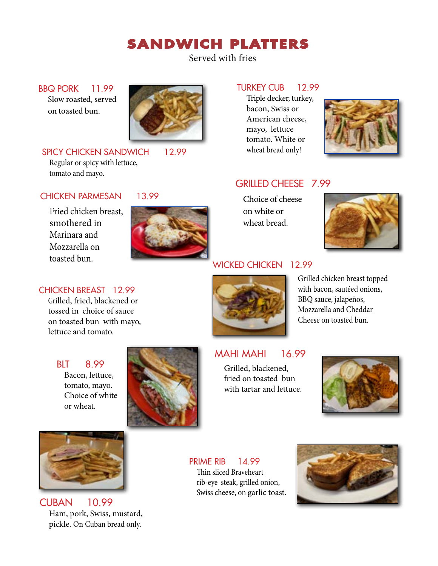## **SANDWICH PLATTERS**

Served with fries

BBQ PORK 11.99 Slow roasted, served on toasted bun.



SPICY CHICKEN SANDWICH 12.99 Regular or spicy with lettuce, tomato and mayo.

#### CHICKEN PARMESAN 13.99

Fried chicken breast, smothered in Marinara and Mozzarella on toasted bun. **EXECUTE: A SERVICE CHICKEN** 12.99



#### TURKEY CUB 12.99

Triple decker, turkey, bacon, Swiss or American cheese, mayo, lettuce tomato. White or wheat bread only!



#### GRILLED CHEESE 7.99

Choice of cheese on white or wheat bread.



#### CHICKEN BREAST 12.99

Grilled, fried, blackened or tossed in choice of sauce on toasted bun with mayo, lettuce and tomato.

BLT 8.99 Bacon, lettuce, tomato, mayo. Choice of white or wheat.



Grilled chicken breast topped with bacon, sautéed onions, BBQ sauce, jalapeños, Mozzarella and Cheddar Cheese on toasted bun.

### MAHI MAHI 16.99

Grilled, blackened, fried on toasted bun with tartar and lettuce.





CUBAN 10.99 Ham, pork, Swiss, mustard, pickle. On Cuban bread only.

PRIME RIB 14.99 Thin sliced Braveheart rib-eye steak, grilled onion, Swiss cheese, on garlic toast.

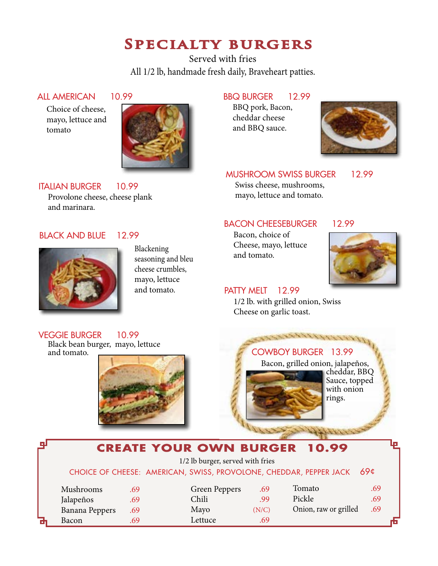## **Specialty burgers**

Served with fries All 1/2 lb, handmade fresh daily, Braveheart patties.

#### ALL AMERICAN 10.99

Choice of cheese, mayo, lettuce and tomato



Blackening

seasoning and bleu cheese crumbles, mayo, lettuce and tomato.

## BBQ BURGER 12.99

BBQ pork, Bacon, cheddar cheese and BBQ sauce.



#### MUSHROOM SWISS BURGER 12.99

Swiss cheese, mushrooms, mayo, lettuce and tomato.

#### BACON CHEESEBURGER 12.99

Bacon, choice of Cheese, mayo, lettuce and tomato.



## PATTY MELT 12.99

1/2 lb. with grilled onion, Swiss Cheese on garlic toast.





Black bean burger, mayo, lettuce and tomato.



## COWBOY BURGER 13.99

Bacon, grilled onion, jalapeños, cheddar, BBQ



anno

**CREATE YOUR OWN BURGER 10.99** 1/2 lb burger, served with fries CHOICE OF CHEESE: AMERICAN, SWISS, PROVOLONE, CHEDDAR, PEPPER JACK 69¢ Mushrooms .69 Jalapeños .69 Banana Peppers .69 Bacon .69 Green Peppers .69 Chili .99 Mayo (N/C) Lettuce .69 Tomato .69 Pickle .69 Onion, raw or grilled .69

BLACK AND BLUE 12.99

ITALIAN BURGER 10.99

and marinara.

Provolone cheese, cheese plank

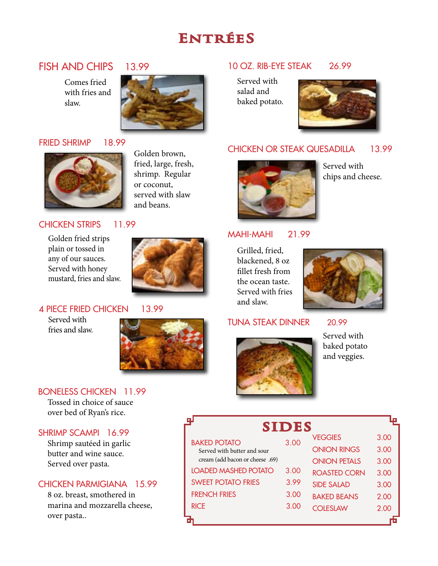## **EntréeS**

### FISH AND CHIPS 13.99

Comes fried with fries and slaw.



#### FRIED SHRIMP 18.99



Golden brown, fried, large, fresh, shrimp. Regular or coconut, served with slaw and beans.

#### CHICKEN STRIPS 11.99

Golden fried strips plain or tossed in any of our sauces. Served with honey mustard, fries and slaw.



#### 4 PIECE FRIED CHICKEN 13.99

Served with fries and slaw.



#### BONELESS CHICKEN 11.99

Tossed in choice of sauce over bed of Ryan's rice.

#### SHRIMP SCAMPI 16.99

Shrimp sautéed in garlic butter and wine sauce. Served over pasta.

#### CHICKEN PARMIGIANA 15.99

8 oz. breast, smothered in marina and mozzarella cheese, over pasta..

### 10 OZ. RIB-EYE STEAK 26.99

Served with salad and baked potato.



#### CHICKEN OR STEAK QUESADILLA 13.99



Served with chips and cheese.

#### MAHI-MAHI 21.99

Grilled, fried, blackened, 8 oz fillet fresh from the ocean taste. Served with fries and slaw.



#### TUNA STEAK DINNER 20.99



Served with baked potato and veggies.